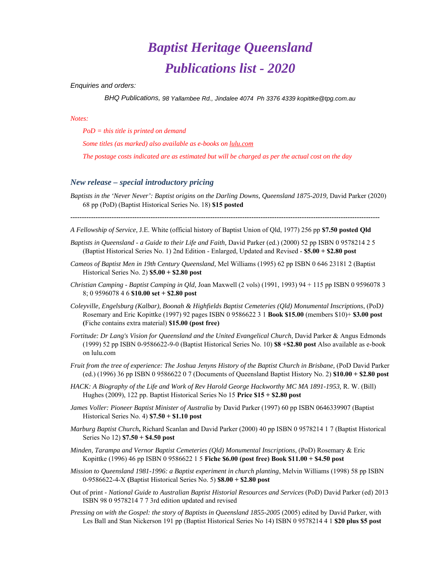## *Baptist Heritage Queensland Publications list - 2020*

*Enquiries and orders:* 

*BHQ Publications, 98 Yallambee Rd., Jindalee 4074 Ph 3376 4339 kopittke@tpg.com.au* 

## *Notes:*

*PoD = this title is printed on demand* 

*Some titles (as marked) also available as e-books on lulu.com* 

*The postage costs indicated are as estimated but will be charged as per the actual cost on the day* 

## *New release – special introductory pricing*

*Baptists in the 'Never Never': Baptist origins on the Darling Downs, Queensland 1875-2019, David Parker (2020)* 68 pp (PoD) (Baptist Historical Series No. 18) **\$15 posted** 

*---------------------------------------------------------------------------------------------------------------------------------------*

*A Fellowship of Service,* J.E. White (official history of Baptist Union of Qld, 1977) 256 pp **\$7.50 posted Qld** 

- *Baptists in Queensland a Guide to their Life and Faith,* David Parker (ed.) (2000) 52 pp ISBN 0 9578214 2 5 (Baptist Historical Series No. 1) 2nd Edition - Enlarged, Updated and Revised - **\$5.00 + \$2.80 post**
- *Cameos of Baptist Men in 19th Century Queensland,* Mel Williams (1995) 62 pp ISBN 0 646 23181 2 (Baptist Historical Series No. 2) **\$5.00 + \$2.80 post**
- *Christian Camping Baptist Camping in Qld,* Joan Maxwell (2 vols) (1991, 1993) 94 + 115 pp ISBN 0 9596078 3 8; 0 9596078 4 6 **\$10.00 set + \$2.80 post**
- *Coleyville, Engelsburg (Kalbar), Boonah & Highfields Baptist Cemeteries (Qld) Monumental Inscriptions*, (PoD*)*  Rosemary and Eric Kopittke (1997) 92 pages ISBN 0 9586622 3 1 **Book \$15.00** (members \$10)+ **\$3.00 post (**Fiche contains extra material) **\$15.00 (post free)**
- *Fortitude: Dr Lang's Vision for Queensland and the United Evangelical Church, David Parker & Angus Edmonds* (1999) 52 pp ISBN 0-9586622-9-0 (Baptist Historical Series No. 10) **\$8 +\$2.80 post** Also available as e-book on lulu.com
- *Fruit from the tree of experience: The Joshua Jenyns History of the Baptist Church in Brisbane,* (PoD David Parker (ed.) (1996) 36 pp ISBN 0 9586622 0 7 (Documents of Queensland Baptist History No. 2) **\$10.00 + \$2.80 post**
- HACK: A Biography of the Life and Work of Rev Harold George Hackworthy MC MA 1891-1953, R. W. (Bill) Hughes (2009), 122 pp. Baptist Historical Series No 15 **Price \$15 + \$2.80 post**
- *James Voller: Pioneer Baptist Minister of Australia* by David Parker (1997) 60 pp ISBN 0646339907 (Baptist Historical Series No. 4) **\$7.50 + \$1.10 post**
- *Marburg Baptist Church***,** Richard Scanlan and David Parker (2000) 40 pp ISBN 0 9578214 1 7 (Baptist Historical Series No 12) **\$7.50 + \$4.50 post**
- *Minden, Tarampa and Vernor Baptist Cemeteries (Qld) Monumental Inscriptions,* (PoD) Rosemary & Eric Kopittke (1996) 46 pp ISBN 0 9586622 1 5 **Fiche \$6.00 (post free) Book \$11.00 + \$4.50 post**
- *Mission to Queensland 1981-1996: a Baptist experiment in church planting*, Melvin Williams (1998) 58 pp ISBN 0-9586622-4-X **(**Baptist Historical Series No. 5) **\$8.00 + \$2.80 post**
- Out of print *National Guide to Australian Baptist Historial Resources and Services* (PoD) David Parker (ed) 2013 ISBN 98 0 9578214 7 7 3rd edition updated and revised
- *Pressing on with the Gospel: the story of Baptists in Queensland 1855-2005 (2005)* edited by David Parker, with Les Ball and Stan Nickerson 191 pp (Baptist Historical Series No 14) ISBN 0 9578214 4 1 **\$20 plus \$5 post**